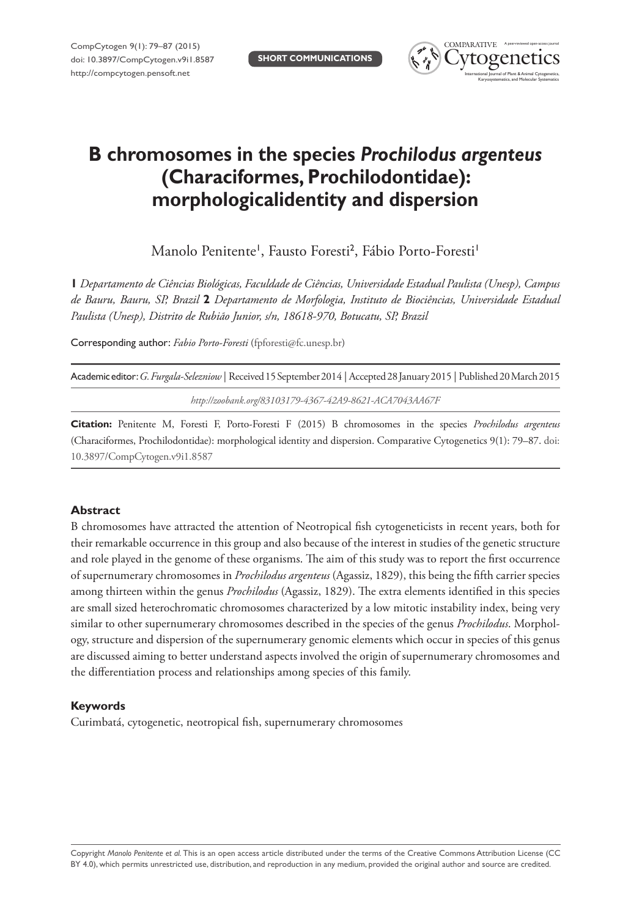

# **B chromosomes in the species** *Prochilodus argenteus* **(Characiformes, Prochilodontidae): morphologicalidentity and dispersion**

Manolo Penitente<sup>1</sup>, Fausto Foresti<sup>2</sup>, Fábio Porto-Foresti<sup>1</sup>

**1** *Departamento de Ciências Biológicas, Faculdade de Ciências, Universidade Estadual Paulista (Unesp), Campus de Bauru, Bauru, SP, Brazil* **2** *Departamento de Morfologia, Instituto de Biociências, Universidade Estadual Paulista (Unesp), Distrito de Rubião Junior, s/n, 18618-970, Botucatu, SP, Brazil*

Corresponding author: *Fabio Porto-Foresti* [\(fpforesti@fc.unesp.br](mailto:fpforesti@fc.unesp.br))

| Academic editor: G. Furgala-Selezniow   Received 15 September 2014   Accepted 28 January 2015   Published 20 March 2015 |
|-------------------------------------------------------------------------------------------------------------------------|
| http://zoobank.org/83103179-4367-42A9-8621-ACA7043AA67F                                                                 |

**Citation:** Penitente M, Foresti F, Porto-Foresti F (2015) B chromosomes in the species *Prochilodus argenteus* (Characiformes, Prochilodontidae): morphological identity and dispersion. Comparative Cytogenetics 9(1): 79–87. [doi:](http://dx.doi.org/10.3897/CompCytogen.v9i1.8587) [10.3897/CompCytogen.v9i1.8587](http://dx.doi.org/10.3897/CompCytogen.v9i1.8587)

# **Abstract**

B chromosomes have attracted the attention of Neotropical fish cytogeneticists in recent years, both for their remarkable occurrence in this group and also because of the interest in studies of the genetic structure and role played in the genome of these organisms. The aim of this study was to report the first occurrence of supernumerary chromosomes in *Prochilodus argenteus* (Agassiz, 1829), this being the fifth carrier species among thirteen within the genus *Prochilodus* (Agassiz, 1829). The extra elements identified in this species are small sized heterochromatic chromosomes characterized by a low mitotic instability index, being very similar to other supernumerary chromosomes described in the species of the genus *Prochilodus*. Morphology, structure and dispersion of the supernumerary genomic elements which occur in species of this genus are discussed aiming to better understand aspects involved the origin of supernumerary chromosomes and the differentiation process and relationships among species of this family.

# **Keywords**

Curimbatá, cytogenetic, neotropical fish, supernumerary chromosomes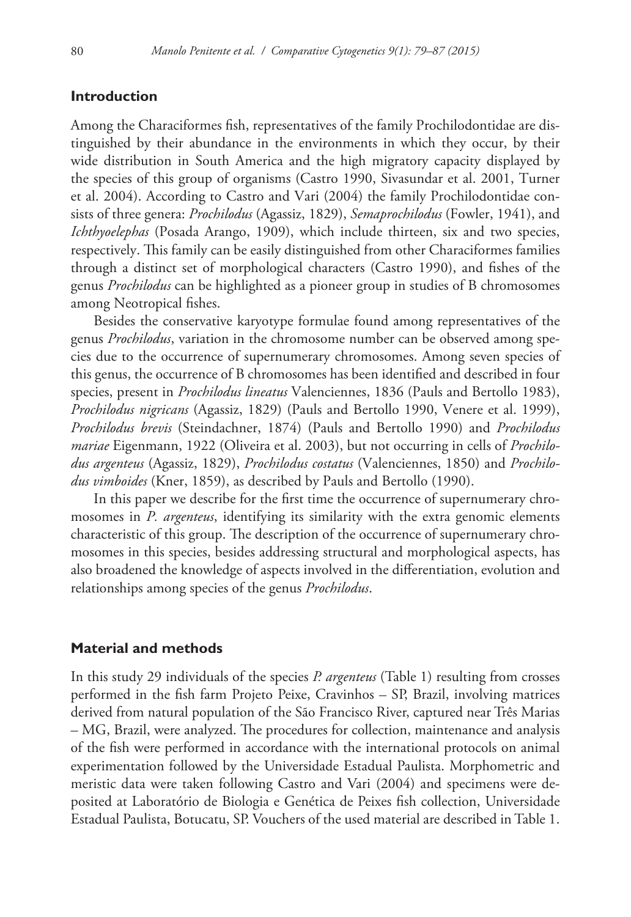### **Introduction**

Among the Characiformes fish, representatives of the family Prochilodontidae are distinguished by their abundance in the environments in which they occur, by their wide distribution in South America and the high migratory capacity displayed by the species of this group of organisms (Castro 1990, Sivasundar et al. 2001, Turner et al. 2004). According to Castro and Vari (2004) the family Prochilodontidae consists of three genera: *Prochilodus* (Agassiz, 1829), *Semaprochilodus* (Fowler, 1941), and *Ichthyoelephas* (Posada Arango, 1909), which include thirteen, six and two species, respectively. This family can be easily distinguished from other Characiformes families through a distinct set of morphological characters (Castro 1990), and fishes of the genus *Prochilodus* can be highlighted as a pioneer group in studies of B chromosomes among Neotropical fishes.

Besides the conservative karyotype formulae found among representatives of the genus *Prochilodus*, variation in the chromosome number can be observed among species due to the occurrence of supernumerary chromosomes. Among seven species of this genus, the occurrence of B chromosomes has been identified and described in four species, present in *Prochilodus lineatus* Valenciennes, 1836 (Pauls and Bertollo 1983), *Prochilodus nigricans* (Agassiz, 1829) (Pauls and Bertollo 1990, Venere et al. 1999), *Prochilodus brevis* (Steindachner, 1874) (Pauls and Bertollo 1990) and *Prochilodus mariae* Eigenmann, 1922 (Oliveira et al. 2003), but not occurring in cells of *Prochilodus argenteus* (Agassiz, 1829), *Prochilodus costatus* (Valenciennes, 1850) and *Prochilodus vimboides* (Kner, 1859), as described by Pauls and Bertollo (1990).

In this paper we describe for the first time the occurrence of supernumerary chromosomes in *P. argenteus*, identifying its similarity with the extra genomic elements characteristic of this group. The description of the occurrence of supernumerary chromosomes in this species, besides addressing structural and morphological aspects, has also broadened the knowledge of aspects involved in the differentiation, evolution and relationships among species of the genus *Prochilodus*.

#### **Material and methods**

In this study 29 individuals of the species *P. argenteus* (Table 1) resulting from crosses performed in the fish farm Projeto Peixe, Cravinhos – SP, Brazil, involving matrices derived from natural population of the São Francisco River, captured near Três Marias – MG, Brazil, were analyzed. The procedures for collection, maintenance and analysis of the fish were performed in accordance with the international protocols on animal experimentation followed by the Universidade Estadual Paulista. Morphometric and meristic data were taken following Castro and Vari (2004) and specimens were deposited at Laboratório de Biologia e Genética de Peixes fish collection, Universidade Estadual Paulista, Botucatu, SP. Vouchers of the used material are described in Table 1.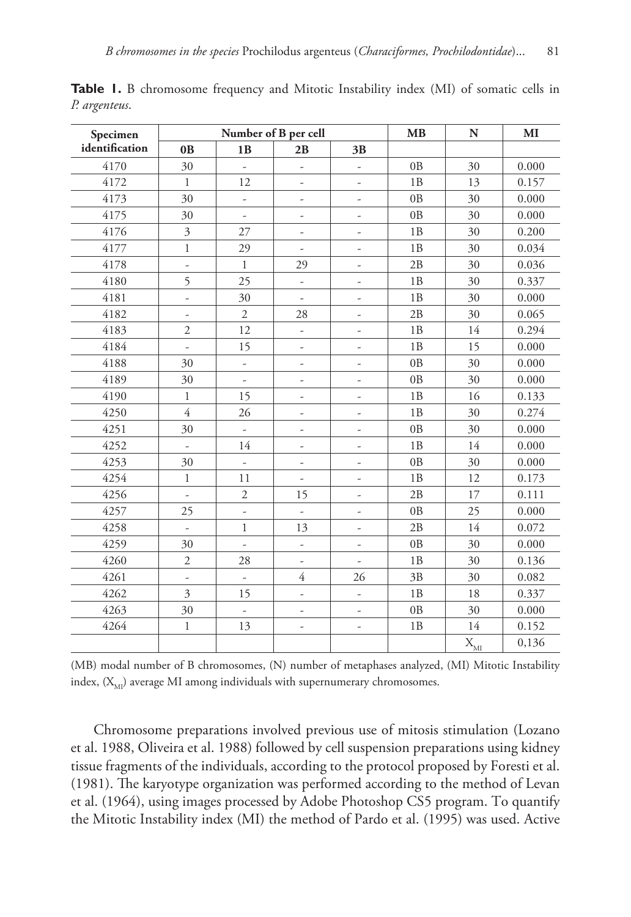| Specimen       | Number of B per cell     |                          |                          |                          | <b>MB</b>      | N                  | MI    |
|----------------|--------------------------|--------------------------|--------------------------|--------------------------|----------------|--------------------|-------|
| identification | 0 <sub>B</sub>           | 1B                       | 2B                       | 3B                       |                |                    |       |
| 4170           | 30                       | ÷,                       | ÷,                       | $\overline{\phantom{m}}$ | 0 <sub>B</sub> | 30                 | 0.000 |
| 4172           | $\mathbf{1}$             | 12                       | $\overline{\phantom{a}}$ | $\frac{1}{2}$            | 1B             | 13                 | 0.157 |
| 4173           | 30                       | $\overline{\phantom{m}}$ |                          |                          | 0B             | 30                 | 0.000 |
| 4175           | 30                       | $\overline{\phantom{a}}$ | $\overline{\phantom{m}}$ | $\overline{\phantom{m}}$ | 0 <sub>B</sub> | 30                 | 0.000 |
| 4176           | $\mathfrak{Z}$           | 27                       | $\overline{\phantom{a}}$ | $\overline{\phantom{m}}$ | 1B             | 30                 | 0.200 |
| 4177           | $\mathbf{1}$             | 29                       |                          |                          | 1B             | 30                 | 0.034 |
| 4178           | $\frac{1}{2}$            | $\mathbf{1}$             | 29                       | ÷                        | 2B             | 30                 | 0.036 |
| 4180           | 5                        | 25                       | ÷,                       | $\frac{1}{2}$            | 1B             | 30                 | 0.337 |
| 4181           | $\frac{1}{2}$            | 30                       |                          |                          | 1B             | 30                 | 0.000 |
| 4182           | $\overline{\phantom{a}}$ | $\mathfrak{2}$           | 28                       | $\frac{1}{2}$            | 2B             | 30                 | 0.065 |
| 4183           | $\mathfrak{2}$           | 12                       | ÷,                       | $\frac{1}{2}$            | 1B             | 14                 | 0.294 |
| 4184           | ä,                       | 15                       | $\overline{\phantom{a}}$ | ٠                        | 1B             | 15                 | 0.000 |
| 4188           | 30                       | $\overline{\phantom{a}}$ | $\overline{\phantom{a}}$ | $\overline{\phantom{m}}$ | 0B             | 30                 | 0.000 |
| 4189           | 30                       | $\frac{1}{2}$            | $\overline{\phantom{a}}$ | $\overline{\phantom{m}}$ | 0B             | 30                 | 0.000 |
| 4190           | $\mathbf{1}$             | 15                       | ÷,                       |                          | 1B             | 16                 | 0.133 |
| 4250           | $\overline{4}$           | 26                       | ÷                        | ٠                        | 1B             | 30                 | 0.274 |
| 4251           | 30                       | ÷,                       | $\overline{\phantom{a}}$ | $\overline{\phantom{a}}$ | 0B             | 30                 | 0.000 |
| 4252           | ä,                       | 14                       | $\overline{\phantom{a}}$ | ٠                        | 1B             | 14                 | 0.000 |
| 4253           | 30                       | ÷,                       | $\overline{\phantom{a}}$ | $\overline{\phantom{m}}$ | 0 <sub>B</sub> | 30                 | 0.000 |
| 4254           | $\mathbf{1}$             | 11                       | ÷,                       | $\overline{\phantom{a}}$ | 1B             | 12                 | 0.173 |
| 4256           | ÷,                       | $\overline{2}$           | 15                       | $\overline{\phantom{a}}$ | 2B             | 17                 | 0.111 |
| 4257           | 25                       | ÷,                       |                          | $\overline{\phantom{m}}$ | 0B             | 25                 | 0.000 |
| 4258           | ÷,                       | $\mathbf{1}$             | 13                       | $\overline{\phantom{m}}$ | 2B             | 14                 | 0.072 |
| 4259           | 30                       | ä,                       | ä,                       | $\frac{1}{2}$            | 0B             | 30                 | 0.000 |
| 4260           | $\overline{2}$           | 28                       | ÷,                       | L,                       | 1B             | 30                 | 0.136 |
| 4261           | $\overline{\phantom{a}}$ | $\overline{\phantom{m}}$ | $\overline{4}$           | 26                       | 3B             | 30                 | 0.082 |
| 4262           | 3                        | 15                       | $\overline{\phantom{a}}$ | $\overline{\phantom{a}}$ | 1B             | 18                 | 0.337 |
| 4263           | 30                       |                          | $\frac{1}{2}$            | -                        | 0B             | 30                 | 0.000 |
| 4264           | $\mathbf 1$              | 13                       | ÷,                       | $\overline{\phantom{m}}$ | 1B             | 14                 | 0.152 |
|                |                          |                          |                          |                          |                | $X_{\overline{M}}$ | 0,136 |

**Table 1.** B chromosome frequency and Mitotic Instability index (MI) of somatic cells in *P. argenteus*.

(MB) modal number of B chromosomes, (N) number of metaphases analyzed, (MI) Mitotic Instability index,  $(\mathbf{X}_\text{MI})$  average MI among individuals with supernumerary chromosomes.

Chromosome preparations involved previous use of mitosis stimulation (Lozano et al. 1988, Oliveira et al. 1988) followed by cell suspension preparations using kidney tissue fragments of the individuals, according to the protocol proposed by Foresti et al. (1981). The karyotype organization was performed according to the method of Levan et al. (1964), using images processed by Adobe Photoshop CS5 program. To quantify the Mitotic Instability index (MI) the method of Pardo et al. (1995) was used. Active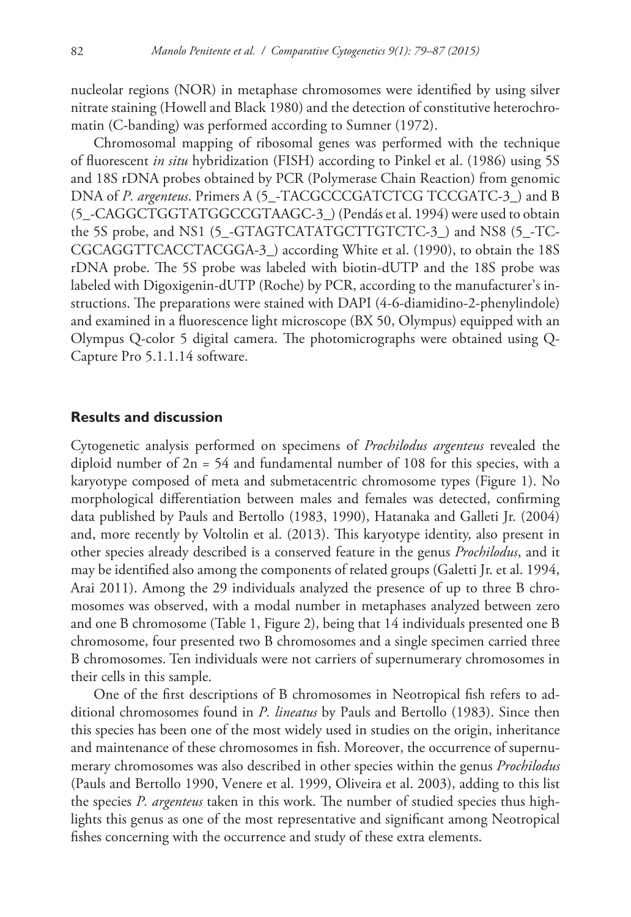nucleolar regions (NOR) in metaphase chromosomes were identified by using silver nitrate staining (Howell and Black 1980) and the detection of constitutive heterochromatin (C-banding) was performed according to Sumner (1972).

Chromosomal mapping of ribosomal genes was performed with the technique of fluorescent *in situ* hybridization (FISH) according to Pinkel et al. (1986) using 5S and 18S rDNA probes obtained by PCR (Polymerase Chain Reaction) from genomic DNA of *P. argenteus*. Primers A (5\_-TACGCCCGATCTCG TCCGATC-3\_) and B (5\_-CAGGCTGGTATGGCCGTAAGC-3\_) (Pendás et al. 1994) were used to obtain the 5S probe, and NS1 (5\_-GTAGTCATATGCTTGTCTC-3\_) and NS8 (5\_-TC-CGCAGGTTCACCTACGGA-3\_) according White et al. (1990), to obtain the 18S rDNA probe. The 5S probe was labeled with biotin-dUTP and the 18S probe was labeled with Digoxigenin-dUTP (Roche) by PCR, according to the manufacturer's instructions. The preparations were stained with DAPI (4-6-diamidino-2-phenylindole) and examined in a fluorescence light microscope (BX 50, Olympus) equipped with an Olympus Q-color 5 digital camera. The photomicrographs were obtained using Q-Capture Pro 5.1.1.14 software.

# **Results and discussion**

Cytogenetic analysis performed on specimens of *Prochilodus argenteus* revealed the diploid number of  $2n = 54$  and fundamental number of 108 for this species, with a karyotype composed of meta and submetacentric chromosome types (Figure 1). No morphological differentiation between males and females was detected, confirming data published by Pauls and Bertollo (1983, 1990), Hatanaka and Galleti Jr. (2004) and, more recently by Voltolin et al. (2013). This karyotype identity, also present in other species already described is a conserved feature in the genus *Prochilodus*, and it may be identified also among the components of related groups (Galetti Jr. et al. 1994, Arai 2011). Among the 29 individuals analyzed the presence of up to three B chromosomes was observed, with a modal number in metaphases analyzed between zero and one B chromosome (Table 1, Figure 2), being that 14 individuals presented one B chromosome, four presented two B chromosomes and a single specimen carried three B chromosomes. Ten individuals were not carriers of supernumerary chromosomes in their cells in this sample.

One of the first descriptions of B chromosomes in Neotropical fish refers to additional chromosomes found in *P. lineatus* by Pauls and Bertollo (1983). Since then this species has been one of the most widely used in studies on the origin, inheritance and maintenance of these chromosomes in fish. Moreover, the occurrence of supernumerary chromosomes was also described in other species within the genus *Prochilodus* (Pauls and Bertollo 1990, Venere et al. 1999, Oliveira et al. 2003), adding to this list the species *P. argenteus* taken in this work. The number of studied species thus highlights this genus as one of the most representative and significant among Neotropical fishes concerning with the occurrence and study of these extra elements.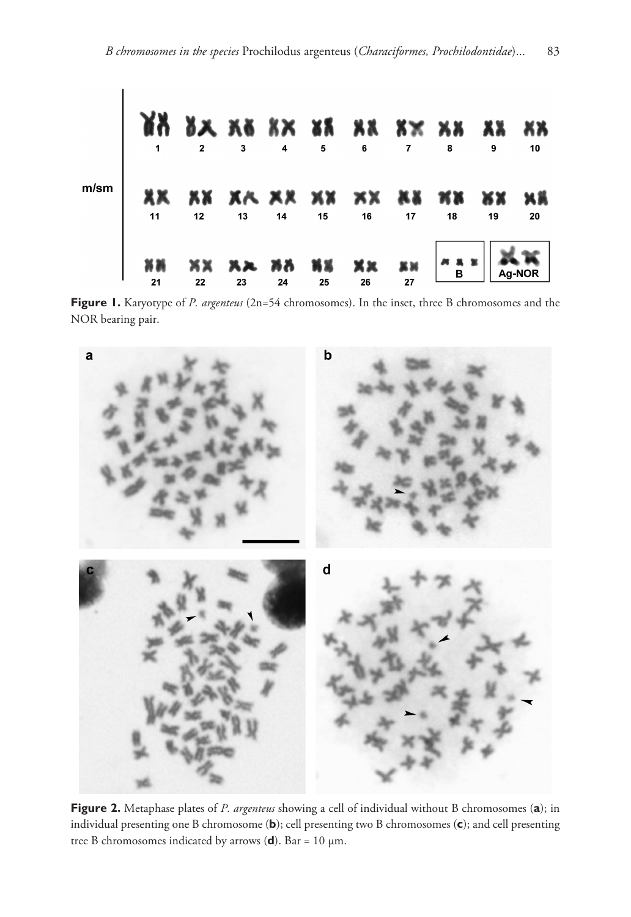

**Figure 1.** Karyotype of *P. argenteus* (2n=54 chromosomes). In the inset, three B chromosomes and the NOR bearing pair.



**Figure 2.** Metaphase plates of *P. argenteus* showing a cell of individual without B chromosomes (**a**); in individual presenting one B chromosome (**b**); cell presenting two B chromosomes (**c**); and cell presenting tree B chromosomes indicated by arrows  $(d)$ . Bar = 10  $\mu$ m.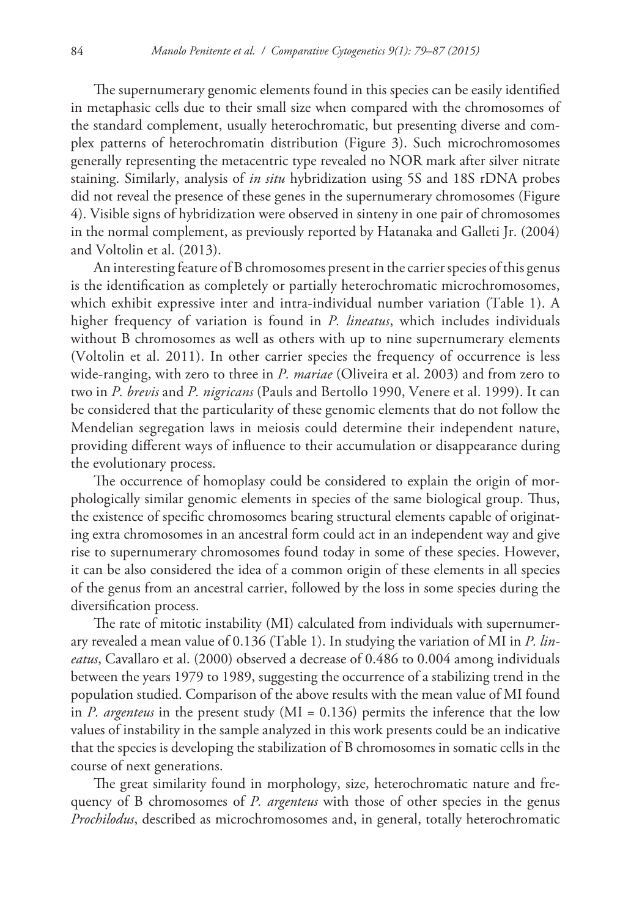The supernumerary genomic elements found in this species can be easily identified in metaphasic cells due to their small size when compared with the chromosomes of the standard complement, usually heterochromatic, but presenting diverse and complex patterns of heterochromatin distribution (Figure 3). Such microchromosomes generally representing the metacentric type revealed no NOR mark after silver nitrate staining. Similarly, analysis of *in situ* hybridization using 5S and 18S rDNA probes did not reveal the presence of these genes in the supernumerary chromosomes (Figure 4). Visible signs of hybridization were observed in sinteny in one pair of chromosomes in the normal complement, as previously reported by Hatanaka and Galleti Jr. (2004) and Voltolin et al. (2013).

An interesting feature of B chromosomes present in the carrier species of this genus is the identification as completely or partially heterochromatic microchromosomes, which exhibit expressive inter and intra-individual number variation (Table 1). A higher frequency of variation is found in *P. lineatus*, which includes individuals without B chromosomes as well as others with up to nine supernumerary elements (Voltolin et al. 2011). In other carrier species the frequency of occurrence is less wide-ranging, with zero to three in *P. mariae* (Oliveira et al. 2003) and from zero to two in *P. brevis* and *P. nigricans* (Pauls and Bertollo 1990, Venere et al. 1999). It can be considered that the particularity of these genomic elements that do not follow the Mendelian segregation laws in meiosis could determine their independent nature, providing different ways of influence to their accumulation or disappearance during the evolutionary process.

The occurrence of homoplasy could be considered to explain the origin of morphologically similar genomic elements in species of the same biological group. Thus, the existence of specific chromosomes bearing structural elements capable of originating extra chromosomes in an ancestral form could act in an independent way and give rise to supernumerary chromosomes found today in some of these species. However, it can be also considered the idea of a common origin of these elements in all species of the genus from an ancestral carrier, followed by the loss in some species during the diversification process.

The rate of mitotic instability (MI) calculated from individuals with supernumerary revealed a mean value of 0.136 (Table 1). In studying the variation of MI in *P. lineatus*, Cavallaro et al. (2000) observed a decrease of 0.486 to 0.004 among individuals between the years 1979 to 1989, suggesting the occurrence of a stabilizing trend in the population studied. Comparison of the above results with the mean value of MI found in *P. argenteus* in the present study (MI = 0.136) permits the inference that the low values of instability in the sample analyzed in this work presents could be an indicative that the species is developing the stabilization of B chromosomes in somatic cells in the course of next generations.

The great similarity found in morphology, size, heterochromatic nature and frequency of B chromosomes of *P. argenteus* with those of other species in the genus *Prochilodus*, described as microchromosomes and, in general, totally heterochromatic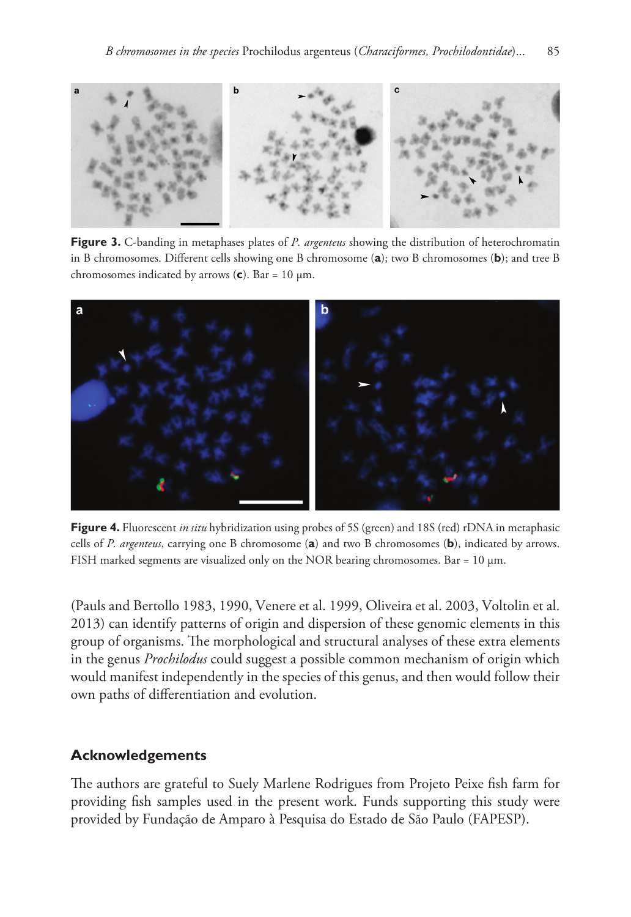

**Figure 3.** C-banding in metaphases plates of *P. argenteus* showing the distribution of heterochromatin in B chromosomes. Different cells showing one B chromosome (**a**); two B chromosomes (**b**); and tree B chromosomes indicated by arrows (**c**). Bar = 10 µm.



**Figure 4.** Fluorescent *in situ* hybridization using probes of 5S (green) and 18S (red) rDNA in metaphasic cells of *P. argenteus*, carrying one B chromosome (**a**) and two B chromosomes (**b**), indicated by arrows. FISH marked segments are visualized only on the NOR bearing chromosomes. Bar =  $10 \mu m$ .

(Pauls and Bertollo 1983, 1990, Venere et al. 1999, Oliveira et al. 2003, Voltolin et al. 2013) can identify patterns of origin and dispersion of these genomic elements in this group of organisms. The morphological and structural analyses of these extra elements in the genus *Prochilodus* could suggest a possible common mechanism of origin which would manifest independently in the species of this genus, and then would follow their own paths of differentiation and evolution.

# **Acknowledgements**

The authors are grateful to Suely Marlene Rodrigues from Projeto Peixe fish farm for providing fish samples used in the present work. Funds supporting this study were provided by Fundação de Amparo à Pesquisa do Estado de São Paulo (FAPESP).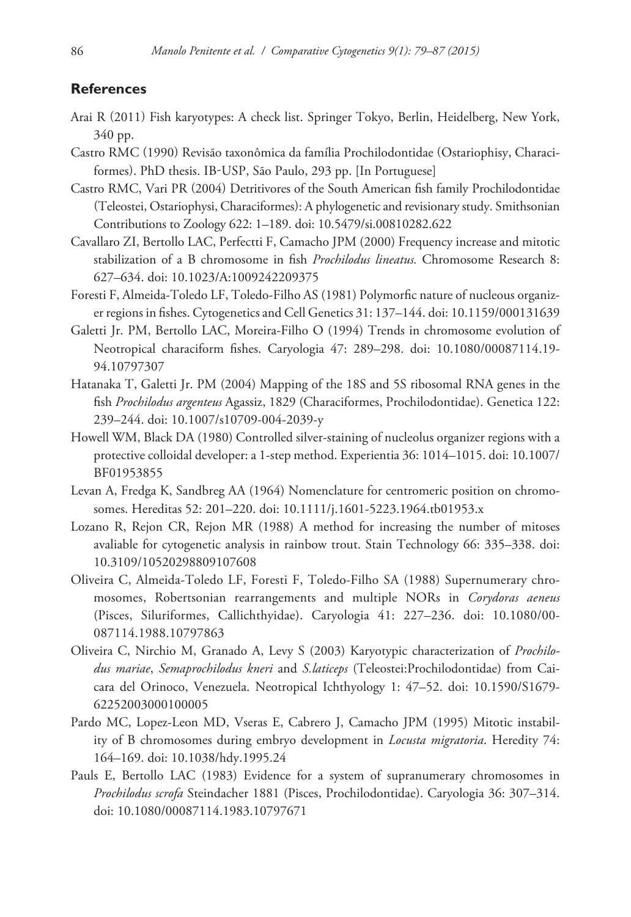#### **References**

- Arai R (2011) Fish karyotypes: A check list. Springer Tokyo, Berlin, Heidelberg, New York, 340 pp.
- Castro RMC (1990) Revisão taxonômica da família Prochilodontidae (Ostariophisy, Characiformes). PhD thesis. IB-USP, São Paulo, 293 pp. [In Portuguese]
- Castro RMC, Vari PR (2004) Detritivores of the South American fish family Prochilodontidae (Teleostei, Ostariophysi, Characiformes): A phylogenetic and revisionary study. Smithsonian Contributions to Zoology 622: 1–189. [doi: 10.5479/si.00810282.622](http://dx.doi.org/10.5479/si.00810282.622)
- Cavallaro ZI, Bertollo LAC, Perfectti F, Camacho JPM (2000) Frequency increase and mitotic stabilization of a B chromosome in fish *Prochilodus lineatus.* Chromosome Research 8: 627–634. [doi: 10.1023/A:1009242209375](http://dx.doi.org/10.1023/A:1009242209375)
- Foresti F, Almeida-Toledo LF, Toledo-Filho AS (1981) Polymorfic nature of nucleous organizer regions in fishes. Cytogenetics and Cell Genetics 31: 137–144. [doi: 10.1159/000131639](http://dx.doi.org/10.1159/000131639)
- Galetti Jr. PM, Bertollo LAC, Moreira-Filho O (1994) Trends in chromosome evolution of Neotropical characiform fishes. Caryologia 47: 289–298. [doi: 10.1080/00087114.19-](http://dx.doi.org/10.1080/00087114.19%C2%AD94.10797307) [94.10797307](http://dx.doi.org/10.1080/00087114.19%C2%AD94.10797307)
- Hatanaka T, Galetti Jr. PM (2004) Mapping of the 18S and 5S ribosomal RNA genes in the fish *Prochilodus argenteus* Agassiz, 1829 (Characiformes, Prochilodontidae). Genetica 122: 239–244. [doi: 10.1007/s10709-004-2039-y](http://dx.doi.org/10.1007/s10709-004-2039-y)
- Howell WM, Black DA (1980) Controlled silver-staining of nucleolus organizer regions with a protective colloidal developer: a 1-step method. Experientia 36: 1014–1015. [doi: 10.1007/](http://dx.doi.org/10.1007/BF01953855) [BF01953855](http://dx.doi.org/10.1007/BF01953855)
- Levan A, Fredga K, Sandbreg AA (1964) Nomenclature for centromeric position on chromosomes. Hereditas 52: 201–220. [doi: 10.1111/j.1601-5223.1964.tb01953.x](http://dx.doi.org/10.1111/j.1601-5223.1964.tb01953.x)
- Lozano R, Rejon CR, Rejon MR (1988) A method for increasing the number of mitoses avaliable for cytogenetic analysis in rainbow trout. Stain Technology 66: 335–338. [doi:](http://dx.doi.org/10.3109/10520298809107608) [10.3109/10520298809107608](http://dx.doi.org/10.3109/10520298809107608)
- Oliveira C, Almeida-Toledo LF, Foresti F, Toledo-Filho SA (1988) Supernumerary chromosomes, Robertsonian rearrangements and multiple NORs in *Corydoras aeneus*  (Pisces, Siluriformes, Callichthyidae). Caryologia 41: 227–236. [doi: 10.1080/00-](http://dx.doi.org/10.1080/00%C2%AD087114.1988.10797863) [087114.1988.10797863](http://dx.doi.org/10.1080/00%C2%AD087114.1988.10797863)
- Oliveira C, Nirchio M, Granado A, Levy S (2003) Karyotypic characterization of *Prochilodus mariae*, *Semaprochilodus kneri* and *S.laticeps* (Teleostei:Prochilodontidae) from Caicara del Orinoco, Venezuela. Neotropical Ichthyology 1: 47–52. [doi: 10.1590/S1679-](http://dx.doi.org/10.1590/S1679-62252003000100005) [62252003000100005](http://dx.doi.org/10.1590/S1679-62252003000100005)
- Pardo MC, Lopez-Leon MD, Vseras E, Cabrero J, Camacho JPM (1995) Mitotic instability of B chromosomes during embryo development in *Locusta migratoria*. Heredity 74: 164–169. [doi: 10.1038/hdy.1995.24](http://dx.doi.org/10.1038/hdy.1995.24)
- Pauls E, Bertollo LAC (1983) Evidence for a system of supranumerary chromosomes in *Prochilodus scrofa* Steindacher 1881 (Pisces, Prochilodontidae). Caryologia 36: 307–314. [doi: 10.1080/00087114.1983.10797671](http://dx.doi.org/10.1080/00087114.1983.10797671)